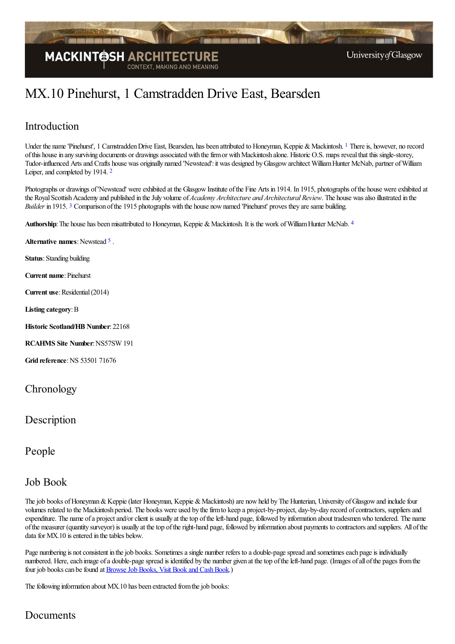

# MX.10 Pinehurst, 1 Camstradden Drive East, Bearsden

## Introduction

<span id="page-0-0"></span>Under the name 'Pinehurst', [1](#page-1-0) Camstradden Drive East, Bearsden, has been attributed to Honeyman, Keppie & Mackintosh. <sup>1</sup> There is, however, no record of this house in any surviving documents or drawings associated with the firm or with Mackintosh alone. Historic O.S. maps reveal that this single-storey, Tudor-influenced Arts and Crafts house was originally named 'Newstead': it was designed by Glasgow architect William Hunter McNab, partner of William Leiper, and completed by 1914.<sup>[2](#page-1-1)</sup>

<span id="page-0-2"></span><span id="page-0-1"></span>Photographs or drawings of Newstead' were exhibited at the Glasgow Institute of the Fine Arts in 1914. In 1915, photographs of the house were exhibited at the RoyalScottishAcademy and published in theJuly volume of*Academy Architecture and Architectural Review*. The house wasalso illustrated in the *Builder* in 1915.<sup>[3](#page-1-2)</sup> Comparison of the 1915 photographs with the house now named 'Pinehurst' proves they are same building.

<span id="page-0-3"></span>Authorship: The house has been misattributed to Honeyman, Keppie & Mackintosh. It is the work of William Hunter McNab. <sup>[4](#page-1-3)</sup>

<span id="page-0-4"></span>**Alternative names:** Newstead <sup>[5](#page-1-4)</sup>

**Status**: Standing building

**Current name**:Pinehurst

**Current use:** Residential (2014)

**Listing category**:B

**Historic Scotland/HB Number**: 22168

**RCAHMS** Site Number: NS57SW 191

**Grid reference: NS 53501 71676** 

## **Chronology**

#### **Description**

People

### Job Book

The job books of Honeyman & Keppie (later Honeyman, Keppie & Mackintosh) are now held by The Hunterian, University of Glasgow and include four volumes related to the Mackintosh period. The books were used by the firm to keep a project-by-project, day-by-day record of contractors, suppliers and expenditure. The name of a project and/or client is usually at the top of the left-hand page, followed by information about tradesmen who tendered. The name ofthe measurer (quantity surveyor) is usually at thetop oftheright-hand page, followed by information about payments to contractorsand suppliers. All ofthe data for  $MX.10$  is entered in the tables below.

Page numbering is not consistent in the job books. Sometimes a single number refers to a double-page spread and sometimes each page is individually numbered. Here, each image of a double-page spread is identified by the number given at the top of the left-hand page. (Images of all of the pages from the four job books can be found at Browse Job Books, Visit Book and Cash Book.)

The following information about MX.10 has been extracted from the job books:

## Documents